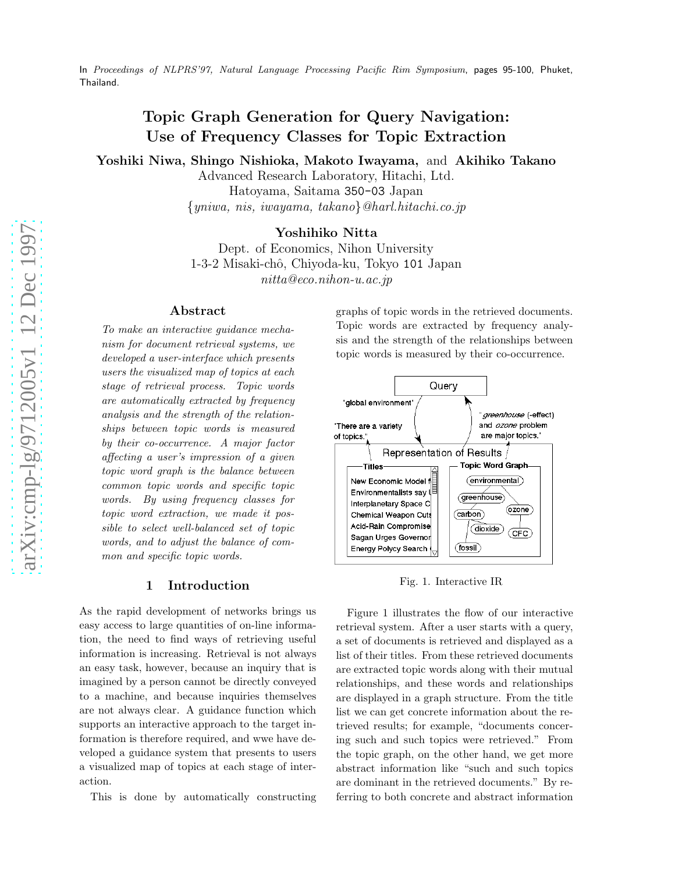In Proceedings of NLPRS'97, Natural Language Processing Pacific Rim Symposium, pages 95-100, Phuket, Thailand.

# Topic Graph Generation for Query Navigation: Use of Frequency Classes for Topic Extraction

Yoshiki Niwa, Shingo Nishioka, Makoto Iwayama, and Akihiko Takano

Advanced Research Laboratory, Hitachi, Ltd. Hatoyama, Saitama 350-03 Japan {yniwa, nis, iwayama, takano }@harl.hitachi.co.jp

Yoshihiko Nitta

Dept. of Economics, Nihon University 1-3-2 Misaki-chˆo, Chiyoda-ku, Tokyo 101 Japan nitta@eco.nihon-u.ac.jp

### Abstract

To make an interactive guidance mechanism for document retrieval systems, we developed a user-interface which presents users the visualized map of topics at each stage of retrieval process. Topic words are automatically extracted by frequency analysis and the strength of the relationships between topic words is measured by their co-occurrence. A major factor affecting a user's impression of a given topic word graph is the balance between common topic words and specific topic words. By using frequency classes for topic word extraction, we made it possible to select well-balanced set of topic words, and to adjust the balance of common and specific topic words.

## 1 Introduction

As the rapid development of networks brings us easy access to large quantities of on-line information, the need to find ways of retrieving useful information is increasing. Retrieval is not always an easy task, however, because an inquiry that is imagined by a person cannot be directly conveyed to a machine, and because inquiries themselves are not always clear. A guidance function which supports an interactive approach to the target information is therefore required, and wwe have developed a guidance system that presents to users a visualized map of topics at each stage of interaction.

This is done by automatically constructing

graphs of topic words in the retrieved documents. Topic words are extracted by frequency analysis and the strength of the relationships between topic words is measured by their co-occurrence.



Fig. 1. Interactive IR

Figure 1 illustrates the flow of our interactive retrieval system. After a user starts with a query, a set of documents is retrieved and displayed as a list of their titles. From these retrieved documents are extracted topic words along with their mutual relationships, and these words and relationships are displayed in a graph structure. From the title list we can get concrete information about the retrieved results; for example, "documents concering such and such topics were retrieved." From the topic graph, on the other hand, we get more abstract information like "such and such topics are dominant in the retrieved documents." By referring to both concrete and abstract information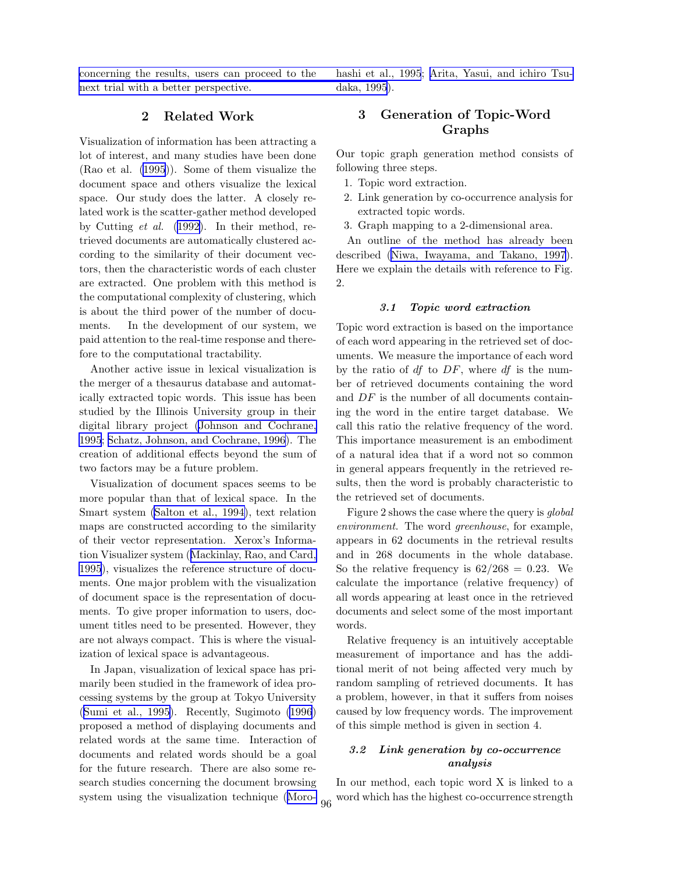[concerning the results, users can proceed to the](#page-5-0) [next trial with a better perspective.](#page-5-0)

## 2 Related Work

Visualization of information has been attracting a lot of interest, and many studies have been done (Rao et al. [\(1995](#page-5-0))). Some of them visualize the document space and others visualize the lexical space. Our study does the latter. A closely related work is the scatter-gather method developed by Cutting et al. ([1992](#page-5-0)). In their method, retrieved documents are automatically clustered according to the similarity of their document vectors, then the characteristic words of each cluster are extracted. One problem with this method is the computational complexity of clustering, which is about the third power of the number of documents. In the development of our system, we paid attention to the real-time response and therefore to the computational tractability.

Another active issue in lexical visualization is the merger of a thesaurus database and automatically extracted topic words. This issue has been studied by the Illinois University group in their digital library project [\(Johnson and Cochrane,](#page-5-0) [1995](#page-5-0); [Schatz, Johnson, and Cochrane, 1996](#page-5-0)). The creation of additional effects beyond the sum of two factors may be a future problem.

Visualization of document spaces seems to be more popular than that of lexical space. In the Smart system [\(Salton et al., 1994\)](#page-5-0), text relation maps are constructed according to the similarity of their vector representation. Xerox's Information Visualizer system([Mackinlay, Rao, and Card,](#page-5-0) [1995](#page-5-0)), visualizes the reference structure of documents. One major problem with the visualization of document space is the representation of documents. To give proper information to users, document titles need to be presented. However, they are not always compact. This is where the visualization of lexical space is advantageous.

In Japan, visualization of lexical space has primarily been studied in the framework of idea processing systems by the group at Tokyo University ([Sumi et al., 1995](#page-5-0)). Recently, Sugimoto [\(1996](#page-5-0)) proposed a method of displaying documents and related words at the same time. Interaction of documents and related words should be a goal for the future research. There are also some research studies concerning the document browsing systemusing the visualization technique (Moro-  $_{96}$ 

hashi et al., 1995; [Arita, Yasui, and ichiro Tsu](#page-5-0)daka, 1995).

# 3 Generation of Topic-Word Graphs

Our topic graph generation method consists of following three steps.

- 1. Topic word extraction.
- 2. Link generation by co-occurrence analysis for extracted topic words.
- 3. Graph mapping to a 2-dimensional area.

An outline of the method has already been described([Niwa, Iwayama, and Takano, 1997](#page-5-0)). Here we explain the details with reference to Fig. 2.

### 3.1 Topic word extraction

Topic word extraction is based on the importance of each word appearing in the retrieved set of documents. We measure the importance of each word by the ratio of  $df$  to  $DF$ , where  $df$  is the number of retrieved documents containing the word and DF is the number of all documents containing the word in the entire target database. We call this ratio the relative frequency of the word. This importance measurement is an embodiment of a natural idea that if a word not so common in general appears frequently in the retrieved results, then the word is probably characteristic to the retrieved set of documents.

Figure 2 shows the case where the query is global environment. The word greenhouse, for example, appears in 62 documents in the retrieval results and in 268 documents in the whole database. So the relative frequency is  $62/268 = 0.23$ . We calculate the importance (relative frequency) of all words appearing at least once in the retrieved documents and select some of the most important words.

Relative frequency is an intuitively acceptable measurement of importance and has the additional merit of not being affected very much by random sampling of retrieved documents. It has a problem, however, in that it suffers from noises caused by low frequency words. The improvement of this simple method is given in section 4.

### 3.2 Link generation by co-occurrence analysis

In our method, each topic word X is linked to a word which has the highest co-occurrence strength  $\,$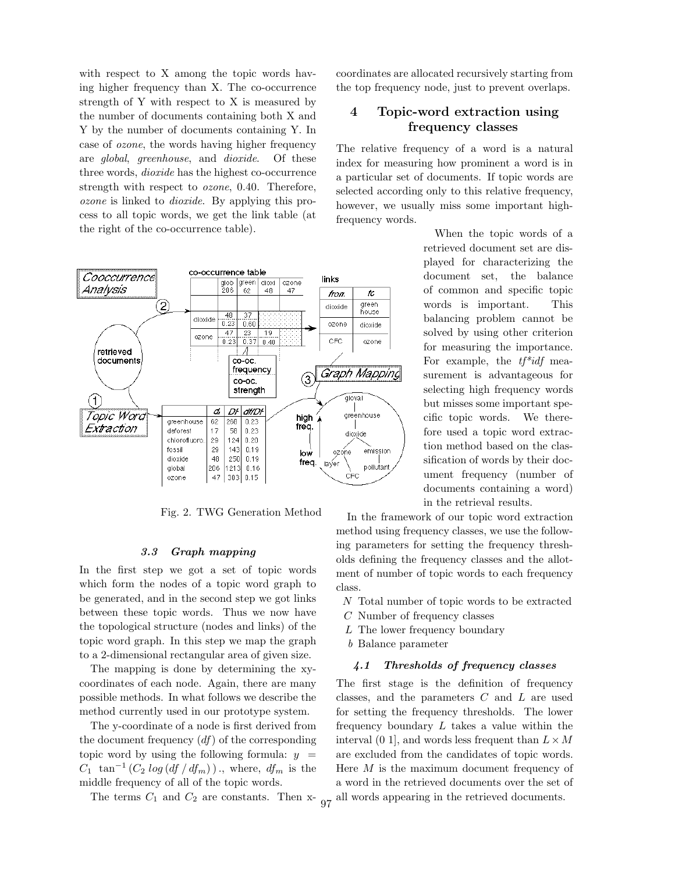with respect to X among the topic words having higher frequency than X. The co-occurrence strength of Y with respect to X is measured by the number of documents containing both X and Y by the number of documents containing Y. In case of ozone, the words having higher frequency are global, greenhouse, and dioxide. Of these three words, dioxide has the highest co-occurrence strength with respect to ozone, 0.40. Therefore, ozone is linked to dioxide. By applying this process to all topic words, we get the link table (at the right of the co-occurrence table).



Fig. 2. TWG Generation Method

### 3.3 Graph mapping

In the first step we got a set of topic words which form the nodes of a topic word graph to be generated, and in the second step we got links between these topic words. Thus we now have the topological structure (nodes and links) of the topic word graph. In this step we map the graph to a 2-dimensional rectangular area of given size.

The mapping is done by determining the xycoordinates of each node. Again, there are many possible methods. In what follows we describe the method currently used in our prototype system.

The y-coordinate of a node is first derived from the document frequency  $(df)$  of the corresponding topic word by using the following formula:  $y =$  $C_1$  tan<sup>-1</sup> ( $C_2$  log(df / df<sub>m</sub>))., where, df<sub>m</sub> is the middle frequency of all of the topic words.

The terms  $C_1$  and  $C_2$  are constants. Then x-  $_{97}$  all words appearing in the retrieved documents.

coordinates are allocated recursively starting from the top frequency node, just to prevent overlaps.

# 4 Topic-word extraction using frequency classes

The relative frequency of a word is a natural index for measuring how prominent a word is in a particular set of documents. If topic words are selected according only to this relative frequency, however, we usually miss some important highfrequency words.

> When the topic words of a retrieved document set are displayed for characterizing the document set, the balance of common and specific topic words is important. This balancing problem cannot be solved by using other criterion for measuring the importance. For example, the  $tf^*idf$  measurement is advantageous for selecting high frequency words but misses some important specific topic words. We therefore used a topic word extraction method based on the classification of words by their document frequency (number of documents containing a word) in the retrieval results.

In the framework of our topic word extraction method using frequency classes, we use the following parameters for setting the frequency thresholds defining the frequency classes and the allotment of number of topic words to each frequency class.

- N Total number of topic words to be extracted
- C Number of frequency classes
- L The lower frequency boundary
- b Balance parameter

### 4.1 Thresholds of frequency classes

The first stage is the definition of frequency classes, and the parameters  $C$  and  $L$  are used for setting the frequency thresholds. The lower frequency boundary  $L$  takes a value within the interval (0 1], and words less frequent than  $L \times M$ are excluded from the candidates of topic words. Here M is the maximum document frequency of a word in the retrieved documents over the set of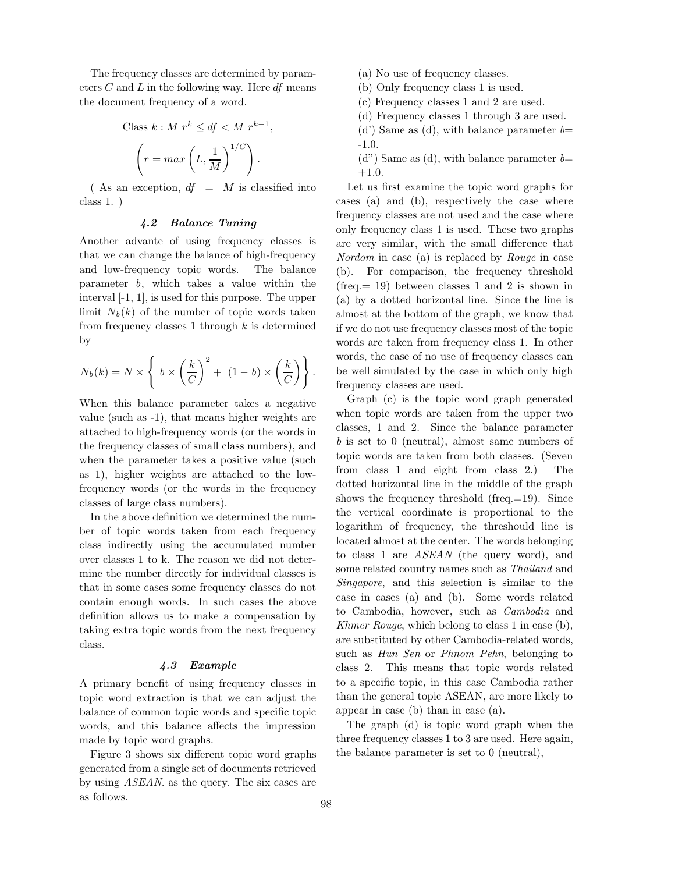The frequency classes are determined by parameters  $C$  and  $L$  in the following way. Here df means the document frequency of a word.

Class 
$$
k : M r^k \le df < M r^{k-1}
$$
  

$$
\left(r = max\left(L, \frac{1}{M}\right)^{1/C}\right).
$$

,

(As an exception,  $df = M$  is classified into class 1. )

### 4.2 Balance Tuning

Another advante of using frequency classes is that we can change the balance of high-frequency and low-frequency topic words. The balance parameter b, which takes a value within the interval [-1, 1], is used for this purpose. The upper limit  $N_b(k)$  of the number of topic words taken from frequency classes 1 through  $k$  is determined by

$$
N_b(k) = N \times \left\{ b \times \left(\frac{k}{C}\right)^2 + (1-b) \times \left(\frac{k}{C}\right) \right\}.
$$

When this balance parameter takes a negative value (such as -1), that means higher weights are attached to high-frequency words (or the words in the frequency classes of small class numbers), and when the parameter takes a positive value (such as 1), higher weights are attached to the lowfrequency words (or the words in the frequency classes of large class numbers).

In the above definition we determined the number of topic words taken from each frequency class indirectly using the accumulated number over classes 1 to k. The reason we did not determine the number directly for individual classes is that in some cases some frequency classes do not contain enough words. In such cases the above definition allows us to make a compensation by taking extra topic words from the next frequency class.

#### 4.3 Example

A primary benefit of using frequency classes in topic word extraction is that we can adjust the balance of common topic words and specific topic words, and this balance affects the impression made by topic word graphs.

Figure 3 shows six different topic word graphs generated from a single set of documents retrieved by using ASEAN. as the query. The six cases are as follows.

- (a) No use of frequency classes.
- (b) Only frequency class 1 is used.
- (c) Frequency classes 1 and 2 are used.
- (d) Frequency classes 1 through 3 are used.
- (d') Same as (d), with balance parameter  $b=$ -1.0.
- (d") Same as (d), with balance parameter  $b=$  $+1.0.$

Let us first examine the topic word graphs for cases (a) and (b), respectively the case where frequency classes are not used and the case where only frequency class 1 is used. These two graphs are very similar, with the small difference that Nordom in case (a) is replaced by Rouge in case (b). For comparison, the frequency threshold (freq.= 19) between classes 1 and 2 is shown in (a) by a dotted horizontal line. Since the line is almost at the bottom of the graph, we know that if we do not use frequency classes most of the topic words are taken from frequency class 1. In other words, the case of no use of frequency classes can be well simulated by the case in which only high frequency classes are used.

Graph (c) is the topic word graph generated when topic words are taken from the upper two classes, 1 and 2. Since the balance parameter b is set to 0 (neutral), almost same numbers of topic words are taken from both classes. (Seven from class 1 and eight from class 2.) The dotted horizontal line in the middle of the graph shows the frequency threshold (freq.=19). Since the vertical coordinate is proportional to the logarithm of frequency, the threshould line is located almost at the center. The words belonging to class 1 are ASEAN (the query word), and some related country names such as Thailand and Singapore, and this selection is similar to the case in cases (a) and (b). Some words related to Cambodia, however, such as Cambodia and Khmer Rouge, which belong to class 1 in case (b), are substituted by other Cambodia-related words, such as Hun Sen or Phnom Pehn, belonging to class 2. This means that topic words related to a specific topic, in this case Cambodia rather than the general topic ASEAN, are more likely to appear in case (b) than in case (a).

The graph (d) is topic word graph when the three frequency classes 1 to 3 are used. Here again, the balance parameter is set to 0 (neutral),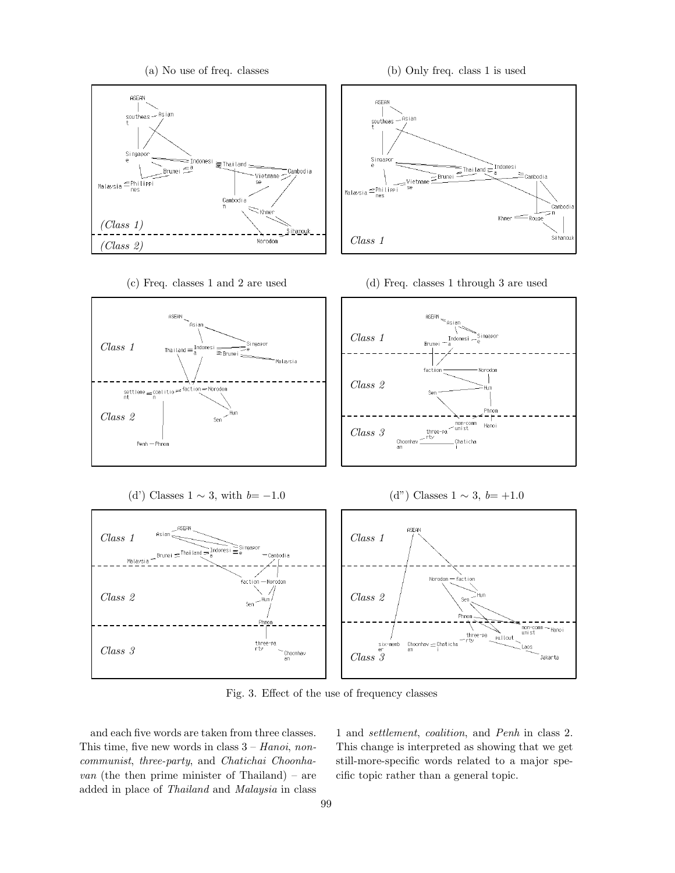

(a) No use of freq. classes (b) Only freq. class 1 is used

 $\boxed{\text{The i } \text{land} \equiv }$ 

Indonesi

.<br>Cambod i a

Khmer Rouge

Cambod

Si hanou

Ξn

ASEAN

southeas-

Singapo

 $\mathtt{Malaysia} \leq \mathtt{Philippi}$ 







 $Vietname  $\underline{\leq Brunei}$   
se$ </u>



### (d') Classes  $1 \sim 3$ , with  $b=-1.0$  (d'') Classes  $1 \sim 3$ ,  $b=+1.0$



Fig. 3. Effect of the use of frequency classes

and each five words are taken from three classes. This time, five new words in class  $3 - Hanoi$ , noncommunist, three-party, and Chatichai Choonha $van$  (the then prime minister of Thailand) – are added in place of Thailand and Malaysia in class 1 and settlement, coalition, and Penh in class 2. This change is interpreted as showing that we get still-more-specific words related to a major specific topic rather than a general topic.